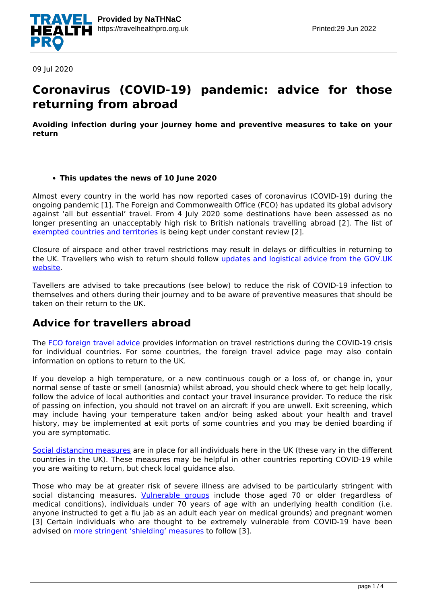

09 Jul 2020

## **Coronavirus (COVID-19) pandemic: advice for those returning from abroad**

**Avoiding infection during your journey home and preventive measures to take on your return**

#### **This updates the news of 10 June 2020**

Almost every country in the world has now reported cases of coronavirus (COVID-19) during the ongoing pandemic [1]. The Foreign and Commonwealth Office (FCO) has updated its global advisory against 'all but essential' travel. From 4 July 2020 some destinations have been assessed as no longer presenting an unacceptably high risk to British nationals travelling abroad [2]. The list of [exempted countries and territories](https://www.gov.uk/guidance/coronavirus-covid-19-countries-and-territories-exempt-from-advice-against-all-but-essential-international-travel) is being kept under constant review [2].

Closure of airspace and other travel restrictions may result in delays or difficulties in returning to the UK. Travellers who wish to return should follow [updates and logistical advice from the GOV.UK](https://www.gov.uk/guidance/travel-advice-novel-coronavirus) [website](https://www.gov.uk/guidance/travel-advice-novel-coronavirus).

Tavellers are advised to take precautions (see below) to reduce the risk of COVID-19 infection to themselves and others during their journey and to be aware of preventive measures that should be taken on their return to the UK.

### **Advice for travellers abroad**

The [FCO foreign travel advice](https://www.gov.uk/foreign-travel-advice) provides information on travel restrictions during the COVID-19 crisis for individual countries. For some countries, the foreign travel advice page may also contain information on options to return to the UK.

If you develop a high temperature, or a new continuous cough or a loss of, or change in, your normal sense of taste or smell (anosmia) whilst abroad, you should check where to get help locally, follow the advice of local authorities and contact your travel insurance provider. To reduce the risk of passing on infection, you should not travel on an aircraft if you are unwell. Exit screening, which may include having your temperature taken and/or being asked about your health and travel history, may be implemented at exit ports of some countries and you may be denied boarding if you are symptomatic.

[Social distancing measures](https://www.gov.uk/government/publications/full-guidance-on-staying-at-home-and-away-from-others/full-guidance-on-staying-at-home-and-away-from-others) are in place for all individuals here in the UK (these vary in the different countries in the UK). These measures may be helpful in other countries reporting COVID-19 while you are waiting to return, but check local guidance also.

Those who may be at greater risk of severe illness are advised to be particularly stringent with social distancing measures. *[Vulnerable groups](https://www.nhs.uk/conditions/coronavirus-covid-19/people-at-higher-risk/)* include those aged 70 or older (regardless of medical conditions), individuals under 70 years of age with an underlying health condition (i.e. anyone instructed to get a flu jab as an adult each year on medical grounds) and pregnant women [3] Certain individuals who are thought to be extremely vulnerable from COVID-19 have been advised on [more stringent 'shielding' measures](https://www.nhs.uk/conditions/coronavirus-covid-19/people-at-higher-risk/advice-for-people-at-high-risk/) to follow [3].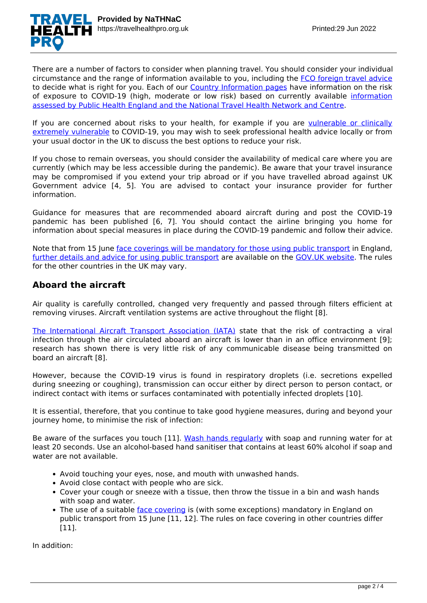There are a number of factors to consider when planning travel. You should consider your individual circumstance and the range of information available to you, including the [FCO foreign travel advice](https://www.gov.uk/foreign-travel-advice) to decide what is right for you. Each of our [Country Information pages](https://travelhealthpro.org.uk/countries) have information on the risk of exposure to COVID-19 (high, moderate or low risk) based on currently available [information](https://travelhealthpro.org.uk/factsheet/11/country-specific-information--rationale) [assessed by Public Health England and the National Travel Health Network and Centre.](https://travelhealthpro.org.uk/factsheet/11/country-specific-information--rationale)

If you are concerned about risks to your health, for example if you are [vulnerable or clinically](https://www.nhs.uk/conditions/coronavirus-covid-19/people-at-higher-risk-from-coronavirus/) [extremely vulnerable](https://www.nhs.uk/conditions/coronavirus-covid-19/people-at-higher-risk-from-coronavirus/) to COVID-19, you may wish to seek professional health advice locally or from your usual doctor in the UK to discuss the best options to reduce your risk.

If you chose to remain overseas, you should consider the availability of medical care where you are currently (which may be less accessible during the pandemic). Be aware that your travel insurance may be compromised if you extend your trip abroad or if you have travelled abroad against UK Government advice [4, 5]. You are advised to contact your insurance provider for further information.

Guidance for measures that are recommended aboard aircraft during and post the COVID-19 pandemic has been published [6, 7]. You should contact the airline bringing you home for information about special measures in place during the COVID-19 pandemic and follow their advice.

Note that from 15 June [face coverings will be mandatory for those using public transport](https://www.gov.uk/government/news/face-coverings-to-become-mandatory-on-public-transport) in England, [further details and advice for using public transport](https://www.gov.uk/guidance/coronavirus-covid-19-safer-travel-guidance-for-passengers) are available on the [GOV.UK website](https://www.gov.uk/guidance/coronavirus-covid-19-safer-travel-guidance-for-passengers). The rules for the other countries in the UK may vary.

#### **Aboard the aircraft**

Air quality is carefully controlled, changed very frequently and passed through filters efficient at removing viruses. Aircraft ventilation systems are active throughout the flight [8].

[The International Aircraft Transport Association \(IATA\)](https://www.iata.org/en/youandiata/travelers/health/) state that the risk of contracting a viral infection through the air circulated aboard an aircraft is lower than in an office environment [9]; research has shown there is very little risk of any communicable disease being transmitted on board an aircraft [8].

However, because the COVID-19 virus is found in respiratory droplets (i.e. secretions expelled during sneezing or coughing), transmission can occur either by direct person to person contact, or indirect contact with items or surfaces contaminated with potentially infected droplets [10].

It is essential, therefore, that you continue to take good hygiene measures, during and beyond your journey home, to minimise the risk of infection:

Be aware of the surfaces you touch [11]. [Wash hands regularly](https://www.nhs.uk/live-well/healthy-body/best-way-to-wash-your-hands/) with soap and running water for at least 20 seconds. Use an alcohol-based hand sanitiser that contains at least 60% alcohol if soap and water are not available.

- Avoid touching your eyes, nose, and mouth with unwashed hands.
- Avoid close contact with people who are sick.
- Cover your cough or sneeze with a tissue, then throw the tissue in a bin and wash hands with soap and water.
- The use of a suitable [face covering](https://www.gov.uk/government/publications/how-to-wear-and-make-a-cloth-face-covering/how-to-wear-and-make-a-cloth-face-covering) is (with some exceptions) mandatory in England on public transport from 15 June [11, 12]. The rules on face covering in other countries differ [11].

In addition: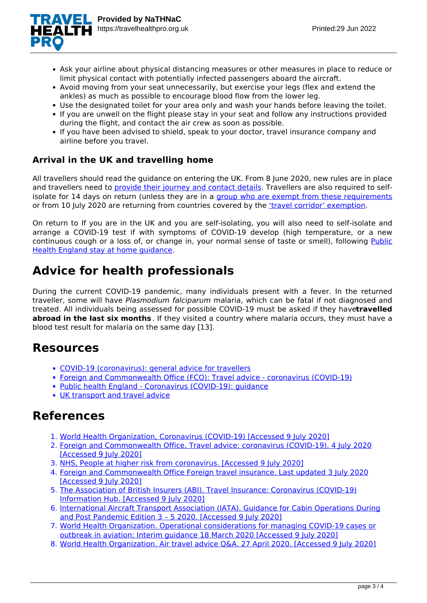

- Ask your airline about physical distancing measures or other measures in place to reduce or limit physical contact with potentially infected passengers aboard the aircraft.
- Avoid moving from your seat unnecessarily, but exercise your legs (flex and extend the ankles) as much as possible to encourage blood flow from the lower leg.
- Use the designated toilet for your area only and wash your hands before leaving the toilet.
- If you are unwell on the flight please stay in your seat and follow any instructions provided during the flight, and contact the air crew as soon as possible.
- If you have been advised to shield, speak to your doctor, travel insurance company and airline before you travel.

#### **Arrival in the UK and travelling home**

All travellers should read the guidance on entering the UK. From 8 June 2020, new rules are in place and travellers need to [provide their journey and contact details](https://www.gov.uk/provide-journey-contact-details-before-travel-uk). Travellers are also required to selfisolate for 14 days on return (unless they are in a [group who are exempt from these requirements](https://www.gov.uk/government/publications/coronavirus-covid-19-travellers-exempt-from-uk-border-rules) or from 10 July 2020 are returning from countries covered by the ['travel corridor' exemption.](https://www.gov.uk/guidance/coronavirus-covid-19-travel-corridors)

On return to If you are in the UK and you are self-isolating, you will also need to self-isolate and arrange a COVID-19 test if with symptoms of COVID-19 develop (high temperature, or a new continuous cough or a loss of, or change in, your normal sense of taste or smell), following [Public](https://www.gov.uk/government/publications/covid-19-stay-at-home-guidance) [Health England stay at home guidance](https://www.gov.uk/government/publications/covid-19-stay-at-home-guidance).

# **Advice for health professionals**

During the current COVID-19 pandemic, many individuals present with a fever. In the returned traveller, some will have *Plasmodium falciparum* malaria, which can be fatal if not diagnosed and treated. All individuals being assessed for possible COVID-19 must be asked if they have**travelled abroad in the last six months** . If they visited a country where malaria occurs, they must have a blood test result for malaria on the same day [13].

## **Resources**

- [COVID-19 \(coronavirus\): general advice for travellers](https://travelhealthpro.org.uk/news/499/covid-19-coronavirus-general-advice-for-travellers)
- [Foreign and Commonwealth Office \(FCO\): Travel advice coronavirus \(COVID-19\)](https://www.gov.uk/guidance/travel-advice-novel-coronavirus)
- · [Public health England Coronavirus \(COVID-19\): guidance](https://www.gov.uk/government/collections/coronavirus-covid-19-list-of-guidance)
- [UK transport and travel advice](https://www.gov.uk/guidance/coronavirus-covid-19-uk-transport-and-travel-advice)

### **References**

- 1. [World Health Organization, Coronavirus \(COVID-19\) \[Accessed 9 July 2020\]](https://covid19.who.int/)
- 2. [Foreign and Commonwealth Office, Travel advice: coronavirus \(COVID-19\). 4 July 2020](https://www.gov.uk/guidance/travel-advice-novel-coronavirus) [\[Accessed 9 July 2020\]](https://www.gov.uk/guidance/travel-advice-novel-coronavirus)
- 3. [NHS, People at higher risk from coronavirus. \[Accessed 9 July 2020\]](https://www.nhs.uk/conditions/coronavirus-covid-19/people-at-higher-risk/)
- 4. [Foreign and Commonwealth Office Foreign travel insurance. Last updated 3 July 2020](https://www.gov.uk/guidance/coronavirus-covid-19-essential-international-travel-guidance) [\[Accessed 9 July 2020\]](https://www.gov.uk/guidance/coronavirus-covid-19-essential-international-travel-guidance)
- 5. [The Association of British Insurers \(ABI\). Travel Insurance: Coronavirus \(COVID-19\)](https://www.abi.org.uk/products-and-issues/topics-and-issues/coronavirus-hub/travel-insurance/) [Information Hub. \[Accessed 9 July 2020\]](https://www.abi.org.uk/products-and-issues/topics-and-issues/coronavirus-hub/travel-insurance/)
- 6. [International Aircraft Transport Association \(IATA\). Guidance for Cabin Operations During](https://www.iata.org/contentassets/df216feeb8bb4d52a3e16befe9671033/iata-guidance-cabin-operations-during-post-pandemic.pdf) [and Post Pandemic Edition 3 – 5 2020. \[Accessed 9 July 2020\]](https://www.iata.org/contentassets/df216feeb8bb4d52a3e16befe9671033/iata-guidance-cabin-operations-during-post-pandemic.pdf)
- 7. [World Health Organization. Operational considerations for managing COVID-19 cases or](https://apps.who.int/iris/bitstream/handle/10665/331488/WHO-2019-nCoV-Aviation-2020.1-eng.pdf) [outbreak in aviation: Interim guidance 18 March 2020 \[Accessed 9 July 2020\]](https://apps.who.int/iris/bitstream/handle/10665/331488/WHO-2019-nCoV-Aviation-2020.1-eng.pdf)
- 8. [World Health Organization. Air travel advice Q&A. 27 April 2020. \[Accessed 9 July 2020\]](https://www.who.int/news-room/q-a-detail/air-travel-advice)